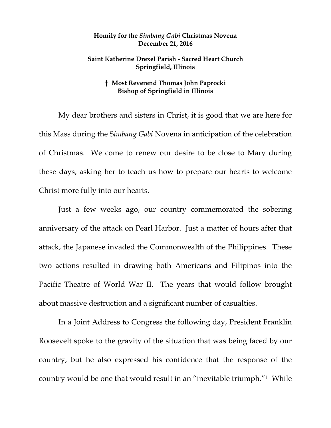## **Homily for the** *Simbang Gabi* **Christmas Novena December 21, 2016**

## **Saint Katherine Drexel Parish - Sacred Heart Church Springfield, Illinois**

## **† Most Reverend Thomas John Paprocki Bishop of Springfield in Illinois**

My dear brothers and sisters in Christ, it is good that we are here for this Mass during the S*imbang Gabi* Novena in anticipation of the celebration of Christmas. We come to renew our desire to be close to Mary during these days, asking her to teach us how to prepare our hearts to welcome Christ more fully into our hearts.

Just a few weeks ago, our country commemorated the sobering anniversary of the attack on Pearl Harbor. Just a matter of hours after that attack, the Japanese invaded the Commonwealth of the Philippines. These two actions resulted in drawing both Americans and Filipinos into the Pacific Theatre of World War II. The years that would follow brought about massive destruction and a significant number of casualties.

In a Joint Address to Congress the following day, President Franklin Roosevelt spoke to the gravity of the situation that was being faced by our country, but he also expressed his confidence that the response of the country would be one that would result in an "inevitable triumph."[1](#page-2-0) While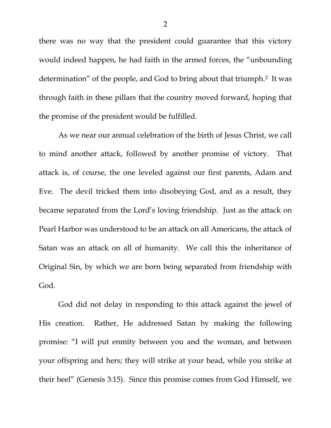there was no way that the president could guarantee that this victory would indeed happen, he had faith in the armed forces, the "unbounding determination" of the people, and God to bring about that triumph.[2](#page-2-1) It was through faith in these pillars that the country moved forward, hoping that the promise of the president would be fulfilled.

As we near our annual celebration of the birth of Jesus Christ, we call to mind another attack, followed by another promise of victory. That attack is, of course, the one leveled against our first parents, Adam and Eve. The devil tricked them into disobeying God, and as a result, they became separated from the Lord's loving friendship. Just as the attack on Pearl Harbor was understood to be an attack on all Americans, the attack of Satan was an attack on all of humanity. We call this the inheritance of Original Sin, by which we are born being separated from friendship with God.

God did not delay in responding to this attack against the jewel of His creation. Rather, He addressed Satan by making the following promise: "I will put enmity between you and the woman, and between your offspring and hers; they will strike at your head, while you strike at their heel" (Genesis 3:15). Since this promise comes from God Himself, we

2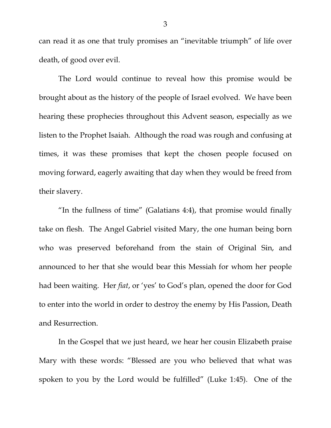can read it as one that truly promises an "inevitable triumph" of life over death, of good over evil.

The Lord would continue to reveal how this promise would be brought about as the history of the people of Israel evolved. We have been hearing these prophecies throughout this Advent season, especially as we listen to the Prophet Isaiah. Although the road was rough and confusing at times, it was these promises that kept the chosen people focused on moving forward, eagerly awaiting that day when they would be freed from their slavery.

"In the fullness of time" (Galatians 4:4), that promise would finally take on flesh. The Angel Gabriel visited Mary, the one human being born who was preserved beforehand from the stain of Original Sin, and announced to her that she would bear this Messiah for whom her people had been waiting. Her *fiat*, or 'yes' to God's plan, opened the door for God to enter into the world in order to destroy the enemy by His Passion, Death and Resurrection.

<span id="page-2-1"></span><span id="page-2-0"></span>In the Gospel that we just heard, we hear her cousin Elizabeth praise Mary with these words: "Blessed are you who believed that what was spoken to you by the Lord would be fulfilled" (Luke 1:45). One of the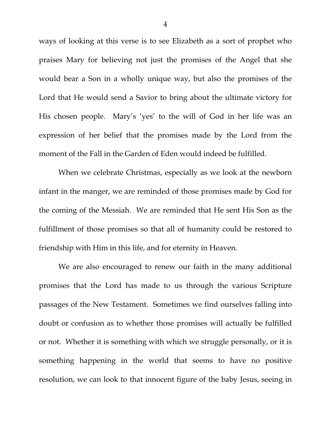ways of looking at this verse is to see Elizabeth as a sort of prophet who praises Mary for believing not just the promises of the Angel that she would bear a Son in a wholly unique way, but also the promises of the Lord that He would send a Savior to bring about the ultimate victory for His chosen people. Mary's 'yes' to the will of God in her life was an expression of her belief that the promises made by the Lord from the moment of the Fall in the Garden of Eden would indeed be fulfilled.

When we celebrate Christmas, especially as we look at the newborn infant in the manger, we are reminded of those promises made by God for the coming of the Messiah. We are reminded that He sent His Son as the fulfillment of those promises so that all of humanity could be restored to friendship with Him in this life, and for eternity in Heaven.

We are also encouraged to renew our faith in the many additional promises that the Lord has made to us through the various Scripture passages of the New Testament. Sometimes we find ourselves falling into doubt or confusion as to whether those promises will actually be fulfilled or not. Whether it is something with which we struggle personally, or it is something happening in the world that seems to have no positive resolution, we can look to that innocent figure of the baby Jesus, seeing in